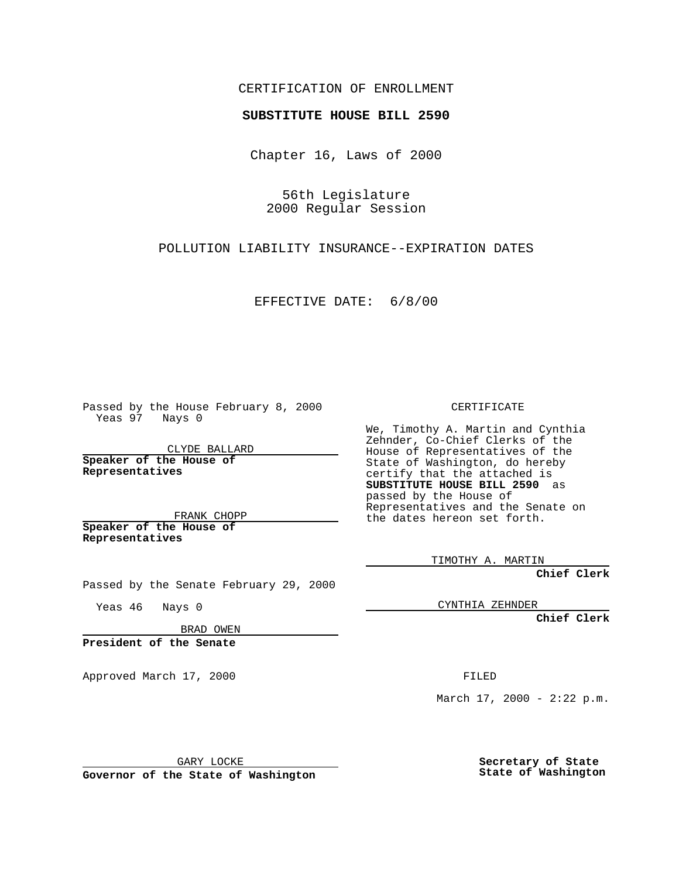## CERTIFICATION OF ENROLLMENT

## **SUBSTITUTE HOUSE BILL 2590**

Chapter 16, Laws of 2000

56th Legislature 2000 Regular Session

POLLUTION LIABILITY INSURANCE--EXPIRATION DATES

EFFECTIVE DATE: 6/8/00

Passed by the House February 8, 2000 Yeas 97 Nays 0

CLYDE BALLARD **Speaker of the House of Representatives**

FRANK CHOPP **Speaker of the House of**

**Representatives**

CERTIFICATE

We, Timothy A. Martin and Cynthia Zehnder, Co-Chief Clerks of the House of Representatives of the State of Washington, do hereby certify that the attached is **SUBSTITUTE HOUSE BILL 2590** as passed by the House of Representatives and the Senate on the dates hereon set forth.

TIMOTHY A. MARTIN

**Chief Clerk**

CYNTHIA ZEHNDER

**Chief Clerk**

BRAD OWEN

Passed by the Senate February 29, 2000

**President of the Senate**

Yeas 46 Nays 0

Approved March 17, 2000 FILED

March  $17, 2000 - 2:22 p.m.$ 

GARY LOCKE

**Governor of the State of Washington**

**Secretary of State State of Washington**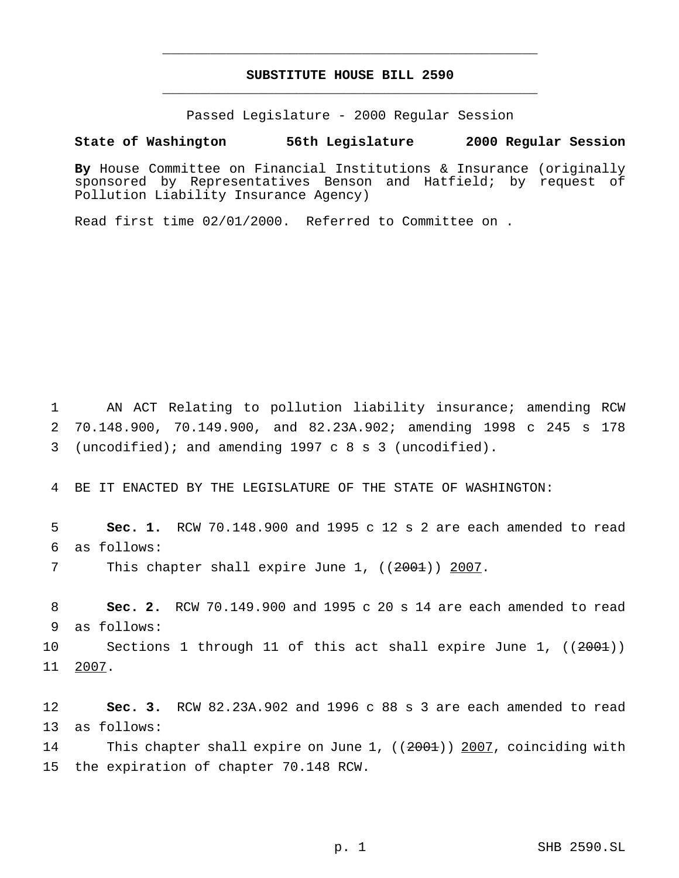## **SUBSTITUTE HOUSE BILL 2590** \_\_\_\_\_\_\_\_\_\_\_\_\_\_\_\_\_\_\_\_\_\_\_\_\_\_\_\_\_\_\_\_\_\_\_\_\_\_\_\_\_\_\_\_\_\_\_

\_\_\_\_\_\_\_\_\_\_\_\_\_\_\_\_\_\_\_\_\_\_\_\_\_\_\_\_\_\_\_\_\_\_\_\_\_\_\_\_\_\_\_\_\_\_\_

Passed Legislature - 2000 Regular Session

**State of Washington 56th Legislature 2000 Regular Session**

**By** House Committee on Financial Institutions & Insurance (originally sponsored by Representatives Benson and Hatfield; by request of Pollution Liability Insurance Agency)

Read first time 02/01/2000. Referred to Committee on .

1 AN ACT Relating to pollution liability insurance; amending RCW 2 70.148.900, 70.149.900, and 82.23A.902; amending 1998 c 245 s 178 3 (uncodified); and amending 1997c8s3 (uncodified).

4 BE IT ENACTED BY THE LEGISLATURE OF THE STATE OF WASHINGTON:

5 **Sec. 1.** RCW 70.148.900 and 1995 c 12 s 2 are each amended to read 6 as follows:

7 This chapter shall expire June 1, ((2001)) 2007.

8 **Sec. 2.** RCW 70.149.900 and 1995 c 20 s 14 are each amended to read 9 as follows:

10 Sections 1 through 11 of this act shall expire June 1, ((2001)) 11 2007.

12 **Sec. 3.** RCW 82.23A.902 and 1996 c 88 s 3 are each amended to read 13 as follows:

14 This chapter shall expire on June 1, ((2001)) 2007, coinciding with 15 the expiration of chapter 70.148 RCW.

p. 1 SHB 2590.SL